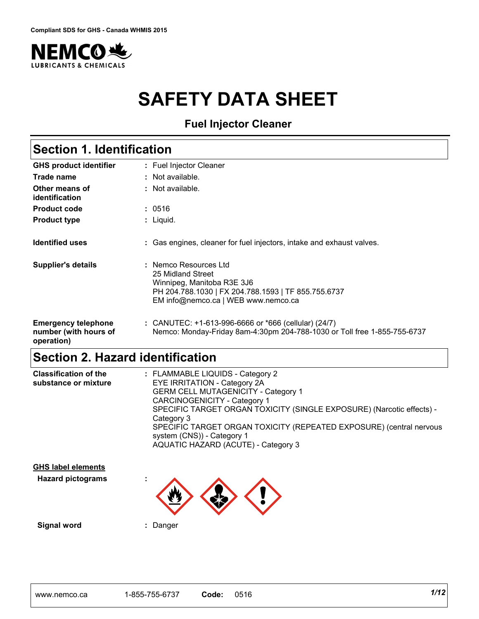

# **SAFETY DATA SHEET**

**Fuel Injector Cleaner**

| <b>Section 1. Identification</b>                                  |                                                                                                                                                                        |
|-------------------------------------------------------------------|------------------------------------------------------------------------------------------------------------------------------------------------------------------------|
| <b>GHS product identifier</b>                                     | : Fuel Injector Cleaner                                                                                                                                                |
| Trade name                                                        | : Not available.                                                                                                                                                       |
| Other means of<br>identification                                  | : Not available.                                                                                                                                                       |
| <b>Product code</b>                                               | : 0516                                                                                                                                                                 |
| <b>Product type</b>                                               | : Liquid.                                                                                                                                                              |
| <b>Identified uses</b>                                            | : Gas engines, cleaner for fuel injectors, intake and exhaust valves.                                                                                                  |
| <b>Supplier's details</b>                                         | : Nemco Resources Ltd<br>25 Midland Street<br>Winnipeg, Manitoba R3E 3J6<br>PH 204.788.1030   FX 204.788.1593   TF 855.755.6737<br>EM info@nemco.ca   WEB www.nemco.ca |
| <b>Emergency telephone</b><br>number (with hours of<br>operation) | : CANUTEC: $+1-613-996-6666$ or $*666$ (cellular) (24/7)<br>Nemco: Monday-Friday 8am-4:30pm 204-788-1030 or Toll free 1-855-755-6737                                   |

# **Section 2. Hazard identification**

| <b>Classification of the</b><br>substance or mixture | : FLAMMABLE LIQUIDS - Category 2<br><b>EYE IRRITATION - Category 2A</b><br><b>GERM CELL MUTAGENICITY - Category 1</b><br><b>CARCINOGENICITY - Category 1</b><br>SPECIFIC TARGET ORGAN TOXICITY (SINGLE EXPOSURE) (Narcotic effects) -<br>Category 3<br>SPECIFIC TARGET ORGAN TOXICITY (REPEATED EXPOSURE) (central nervous<br>system (CNS)) - Category 1 |
|------------------------------------------------------|----------------------------------------------------------------------------------------------------------------------------------------------------------------------------------------------------------------------------------------------------------------------------------------------------------------------------------------------------------|
|                                                      | AQUATIC HAZARD (ACUTE) - Category 3                                                                                                                                                                                                                                                                                                                      |

| <b>GHS label elements</b> |        |  |
|---------------------------|--------|--|
| <b>Hazard pictograms</b>  | ٠<br>٠ |  |
|                           |        |  |

**Signal word :** Danger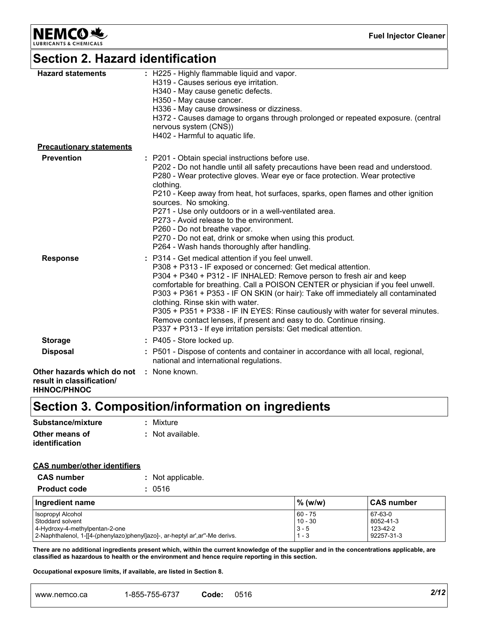**NEMCO 地** 

**Fuel Injector Cleaner**

# **Section 2. Hazard identification**

| <b>Hazard statements</b>                                                                           | : H225 - Highly flammable liquid and vapor.<br>H319 - Causes serious eye irritation.<br>H340 - May cause genetic defects.<br>H350 - May cause cancer.<br>H336 - May cause drowsiness or dizziness.<br>H372 - Causes damage to organs through prolonged or repeated exposure. (central<br>nervous system (CNS))                                                                                                                                                                                                                                                                                                                          |
|----------------------------------------------------------------------------------------------------|-----------------------------------------------------------------------------------------------------------------------------------------------------------------------------------------------------------------------------------------------------------------------------------------------------------------------------------------------------------------------------------------------------------------------------------------------------------------------------------------------------------------------------------------------------------------------------------------------------------------------------------------|
|                                                                                                    | H402 - Harmful to aquatic life.                                                                                                                                                                                                                                                                                                                                                                                                                                                                                                                                                                                                         |
| <b>Precautionary statements</b>                                                                    |                                                                                                                                                                                                                                                                                                                                                                                                                                                                                                                                                                                                                                         |
| <b>Prevention</b>                                                                                  | : P201 - Obtain special instructions before use.<br>P202 - Do not handle until all safety precautions have been read and understood.<br>P280 - Wear protective gloves. Wear eye or face protection. Wear protective<br>clothing.<br>P210 - Keep away from heat, hot surfaces, sparks, open flames and other ignition<br>sources. No smoking.<br>P271 - Use only outdoors or in a well-ventilated area.<br>P273 - Avoid release to the environment.<br>P260 - Do not breathe vapor.<br>P270 - Do not eat, drink or smoke when using this product.<br>P264 - Wash hands thoroughly after handling.                                        |
| <b>Response</b>                                                                                    | : P314 - Get medical attention if you feel unwell.<br>P308 + P313 - IF exposed or concerned: Get medical attention.<br>P304 + P340 + P312 - IF INHALED: Remove person to fresh air and keep<br>comfortable for breathing. Call a POISON CENTER or physician if you feel unwell.<br>P303 + P361 + P353 - IF ON SKIN (or hair): Take off immediately all contaminated<br>clothing. Rinse skin with water.<br>P305 + P351 + P338 - IF IN EYES: Rinse cautiously with water for several minutes.<br>Remove contact lenses, if present and easy to do. Continue rinsing.<br>P337 + P313 - If eye irritation persists: Get medical attention. |
| <b>Storage</b>                                                                                     | : P405 - Store locked up.                                                                                                                                                                                                                                                                                                                                                                                                                                                                                                                                                                                                               |
| <b>Disposal</b>                                                                                    | : P501 - Dispose of contents and container in accordance with all local, regional,<br>national and international regulations.                                                                                                                                                                                                                                                                                                                                                                                                                                                                                                           |
| <b>Other hazards which do not : None known.</b><br>result in classification/<br><b>HHNOC/PHNOC</b> |                                                                                                                                                                                                                                                                                                                                                                                                                                                                                                                                                                                                                                         |

# **Section 3. Composition/information on ingredients**

| Substance/mixture                | : Mixture        |
|----------------------------------|------------------|
| Other means of<br>identification | : Not available. |

#### **CAS number/other identifiers**

| <b>CAS number</b>   | : Not applicable. |
|---------------------|-------------------|
| <b>Product code</b> | : 0516            |

| Ingredient name                                                             | $%$ (w/w)          | <b>CAS number</b> |
|-----------------------------------------------------------------------------|--------------------|-------------------|
| Isopropyl Alcohol                                                           | $160 - 75$         | 67-63-0           |
| Stoddard solvent                                                            | $10 - 30$          | 8052-41-3         |
| 4-Hydroxy-4-methylpentan-2-one                                              | $ 3 - 5$           | 123-42-2          |
| 2-Naphthalenol, 1-[[4-(phenylazo)phenyl]azo]-, ar-heptyl ar',ar"-Me derivs. | $\vert$ 1<br>i - 3 | 92257-31-3        |

**There are no additional ingredients present which, within the current knowledge of the supplier and in the concentrations applicable, are classified as hazardous to health or the environment and hence require reporting in this section.**

**Occupational exposure limits, if available, are listed in Section 8.**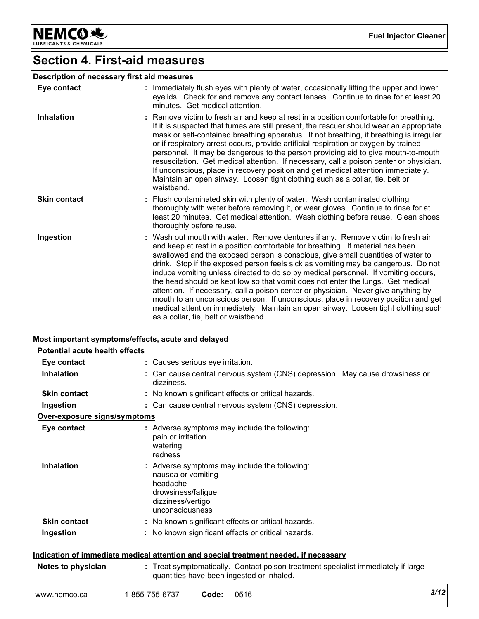NEMCO<sup>N</sup>

**Fuel Injector Cleaner**

# **Section 4. First-aid measures**

### **Description of necessary first aid measures**

| Eye contact         | : Immediately flush eyes with plenty of water, occasionally lifting the upper and lower<br>eyelids. Check for and remove any contact lenses. Continue to rinse for at least 20<br>minutes. Get medical attention.                                                                                                                                                                                                                                                                                                                                                                                                                                                                                                                                                                                                             |
|---------------------|-------------------------------------------------------------------------------------------------------------------------------------------------------------------------------------------------------------------------------------------------------------------------------------------------------------------------------------------------------------------------------------------------------------------------------------------------------------------------------------------------------------------------------------------------------------------------------------------------------------------------------------------------------------------------------------------------------------------------------------------------------------------------------------------------------------------------------|
| <b>Inhalation</b>   | : Remove victim to fresh air and keep at rest in a position comfortable for breathing.<br>If it is suspected that fumes are still present, the rescuer should wear an appropriate<br>mask or self-contained breathing apparatus. If not breathing, if breathing is irregular<br>or if respiratory arrest occurs, provide artificial respiration or oxygen by trained<br>personnel. It may be dangerous to the person providing aid to give mouth-to-mouth<br>resuscitation. Get medical attention. If necessary, call a poison center or physician.<br>If unconscious, place in recovery position and get medical attention immediately.<br>Maintain an open airway. Loosen tight clothing such as a collar, tie, belt or<br>waistband.                                                                                       |
| <b>Skin contact</b> | : Flush contaminated skin with plenty of water. Wash contaminated clothing<br>thoroughly with water before removing it, or wear gloves. Continue to rinse for at<br>least 20 minutes. Get medical attention. Wash clothing before reuse. Clean shoes<br>thoroughly before reuse.                                                                                                                                                                                                                                                                                                                                                                                                                                                                                                                                              |
| Ingestion           | : Wash out mouth with water. Remove dentures if any. Remove victim to fresh air<br>and keep at rest in a position comfortable for breathing. If material has been<br>swallowed and the exposed person is conscious, give small quantities of water to<br>drink. Stop if the exposed person feels sick as vomiting may be dangerous. Do not<br>induce vomiting unless directed to do so by medical personnel. If vomiting occurs,<br>the head should be kept low so that vomit does not enter the lungs. Get medical<br>attention. If necessary, call a poison center or physician. Never give anything by<br>mouth to an unconscious person. If unconscious, place in recovery position and get<br>medical attention immediately. Maintain an open airway. Loosen tight clothing such<br>as a collar, tie, belt or waistband. |

#### **Most important symptoms/effects, acute and delayed**

|                                       | <u>moot important of impromorphoeto; abato and abiafoa</u>                                                                                  |      |
|---------------------------------------|---------------------------------------------------------------------------------------------------------------------------------------------|------|
| <b>Potential acute health effects</b> |                                                                                                                                             |      |
| Eye contact                           | : Causes serious eye irritation.                                                                                                            |      |
| <b>Inhalation</b>                     | : Can cause central nervous system (CNS) depression. May cause drowsiness or<br>dizziness.                                                  |      |
| <b>Skin contact</b>                   | : No known significant effects or critical hazards.                                                                                         |      |
| Ingestion                             | : Can cause central nervous system (CNS) depression.                                                                                        |      |
| Over-exposure signs/symptoms          |                                                                                                                                             |      |
| Eye contact                           | : Adverse symptoms may include the following:<br>pain or irritation<br>watering<br>redness                                                  |      |
| <b>Inhalation</b>                     | Adverse symptoms may include the following:<br>nausea or vomiting<br>headache<br>drowsiness/fatigue<br>dizziness/vertigo<br>unconsciousness |      |
| <b>Skin contact</b>                   | : No known significant effects or critical hazards.                                                                                         |      |
| Ingestion                             | : No known significant effects or critical hazards.                                                                                         |      |
|                                       | Indication of immediate medical attention and special treatment needed, if necessary                                                        |      |
| Notes to physician                    | : Treat symptomatically. Contact poison treatment specialist immediately if large<br>quantities have been ingested or inhaled.              |      |
| www.nemco.ca                          | 1-855-755-6737<br>0516<br>Code:                                                                                                             | 3/12 |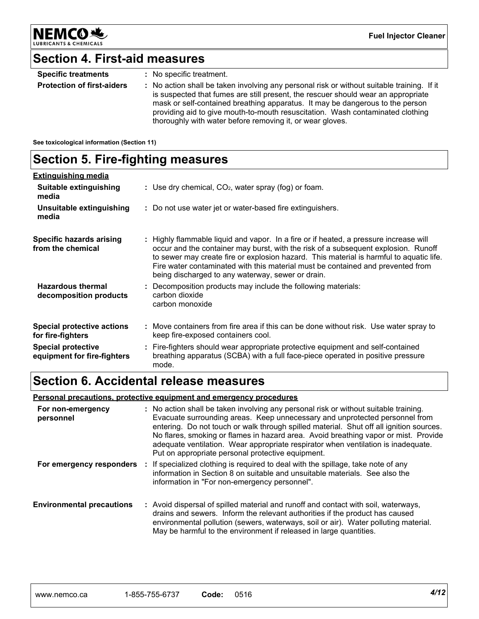

# **Section 4. First-aid measures**

| <b>Specific treatments</b>        | : No specific treatment.                                                                                                                                                                                                                                                                                                                                                                                        |
|-----------------------------------|-----------------------------------------------------------------------------------------------------------------------------------------------------------------------------------------------------------------------------------------------------------------------------------------------------------------------------------------------------------------------------------------------------------------|
| <b>Protection of first-aiders</b> | : No action shall be taken involving any personal risk or without suitable training. If it<br>is suspected that fumes are still present, the rescuer should wear an appropriate<br>mask or self-contained breathing apparatus. It may be dangerous to the person<br>providing aid to give mouth-to-mouth resuscitation. Wash contaminated clothing<br>thoroughly with water before removing it, or wear gloves. |

**See toxicological information (Section 11)**

# **Section 5. Fire-fighting measures**

| <b>Extinguishing media</b>                               |                                                                                                                                                                                                                                                                                                                                                                                                                |
|----------------------------------------------------------|----------------------------------------------------------------------------------------------------------------------------------------------------------------------------------------------------------------------------------------------------------------------------------------------------------------------------------------------------------------------------------------------------------------|
| Suitable extinguishing<br>media                          | : Use dry chemical, $CO2$ , water spray (fog) or foam.                                                                                                                                                                                                                                                                                                                                                         |
| Unsuitable extinguishing<br>media                        | : Do not use water jet or water-based fire extinguishers.                                                                                                                                                                                                                                                                                                                                                      |
| <b>Specific hazards arising</b><br>from the chemical     | : Highly flammable liquid and vapor. In a fire or if heated, a pressure increase will<br>occur and the container may burst, with the risk of a subsequent explosion. Runoff<br>to sewer may create fire or explosion hazard. This material is harmful to aquatic life.<br>Fire water contaminated with this material must be contained and prevented from<br>being discharged to any waterway, sewer or drain. |
| <b>Hazardous thermal</b><br>decomposition products       | : Decomposition products may include the following materials:<br>carbon dioxide<br>carbon monoxide                                                                                                                                                                                                                                                                                                             |
| <b>Special protective actions</b><br>for fire-fighters   | : Move containers from fire area if this can be done without risk. Use water spray to<br>keep fire-exposed containers cool.                                                                                                                                                                                                                                                                                    |
| <b>Special protective</b><br>equipment for fire-fighters | : Fire-fighters should wear appropriate protective equipment and self-contained<br>breathing apparatus (SCBA) with a full face-piece operated in positive pressure<br>mode.                                                                                                                                                                                                                                    |

# **Section 6. Accidental release measures**

**Personal precautions, protective equipment and emergency procedures**

| For non-emergency<br>personnel   | : No action shall be taken involving any personal risk or without suitable training.<br>Evacuate surrounding areas. Keep unnecessary and unprotected personnel from<br>entering. Do not touch or walk through spilled material. Shut off all ignition sources.<br>No flares, smoking or flames in hazard area. Avoid breathing vapor or mist. Provide<br>adequate ventilation. Wear appropriate respirator when ventilation is inadequate.<br>Put on appropriate personal protective equipment. |
|----------------------------------|-------------------------------------------------------------------------------------------------------------------------------------------------------------------------------------------------------------------------------------------------------------------------------------------------------------------------------------------------------------------------------------------------------------------------------------------------------------------------------------------------|
| For emergency responders         | : If specialized clothing is required to deal with the spillage, take note of any<br>information in Section 8 on suitable and unsuitable materials. See also the<br>information in "For non-emergency personnel".                                                                                                                                                                                                                                                                               |
| <b>Environmental precautions</b> | : Avoid dispersal of spilled material and runoff and contact with soil, waterways,<br>drains and sewers. Inform the relevant authorities if the product has caused<br>environmental pollution (sewers, waterways, soil or air). Water polluting material.<br>May be harmful to the environment if released in large quantities.                                                                                                                                                                 |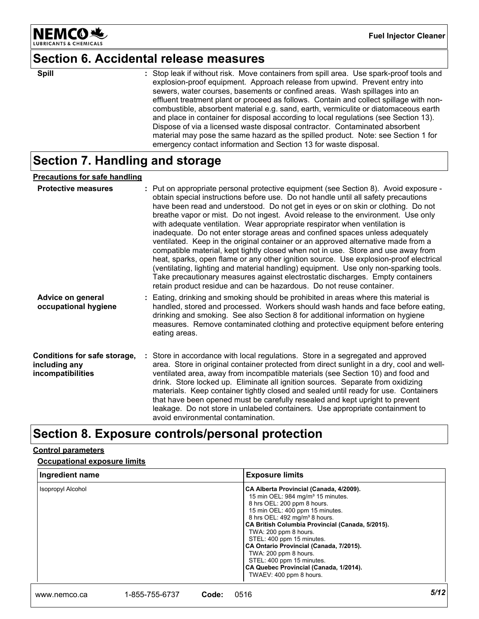

# **Section 6. Accidental release measures**

**Spill** Stop leak if without risk. Move containers from spill area. Use spark-proof tools and Spill area. Use spark-proof tools and explosion-proof equipment. Approach release from upwind. Prevent entry into sewers, water courses, basements or confined areas. Wash spillages into an effluent treatment plant or proceed as follows. Contain and collect spillage with noncombustible, absorbent material e.g. sand, earth, vermiculite or diatomaceous earth and place in container for disposal according to local regulations (see Section 13). Dispose of via a licensed waste disposal contractor. Contaminated absorbent material may pose the same hazard as the spilled product. Note: see Section 1 for emergency contact information and Section 13 for waste disposal.

# **Section 7. Handling and storage**

#### **Precautions for safe handling**

| <b>Protective measures</b>                                         | : Put on appropriate personal protective equipment (see Section 8). Avoid exposure -<br>obtain special instructions before use. Do not handle until all safety precautions<br>have been read and understood. Do not get in eyes or on skin or clothing. Do not<br>breathe vapor or mist. Do not ingest. Avoid release to the environment. Use only<br>with adequate ventilation. Wear appropriate respirator when ventilation is<br>inadequate. Do not enter storage areas and confined spaces unless adequately<br>ventilated. Keep in the original container or an approved alternative made from a<br>compatible material, kept tightly closed when not in use. Store and use away from<br>heat, sparks, open flame or any other ignition source. Use explosion-proof electrical<br>(ventilating, lighting and material handling) equipment. Use only non-sparking tools.<br>Take precautionary measures against electrostatic discharges. Empty containers<br>retain product residue and can be hazardous. Do not reuse container. |
|--------------------------------------------------------------------|----------------------------------------------------------------------------------------------------------------------------------------------------------------------------------------------------------------------------------------------------------------------------------------------------------------------------------------------------------------------------------------------------------------------------------------------------------------------------------------------------------------------------------------------------------------------------------------------------------------------------------------------------------------------------------------------------------------------------------------------------------------------------------------------------------------------------------------------------------------------------------------------------------------------------------------------------------------------------------------------------------------------------------------|
| Advice on general<br>occupational hygiene                          | : Eating, drinking and smoking should be prohibited in areas where this material is<br>handled, stored and processed. Workers should wash hands and face before eating,<br>drinking and smoking. See also Section 8 for additional information on hygiene<br>measures. Remove contaminated clothing and protective equipment before entering<br>eating areas.                                                                                                                                                                                                                                                                                                                                                                                                                                                                                                                                                                                                                                                                          |
| Conditions for safe storage,<br>including any<br>incompatibilities | : Store in accordance with local regulations. Store in a segregated and approved<br>area. Store in original container protected from direct sunlight in a dry, cool and well-<br>ventilated area, away from incompatible materials (see Section 10) and food and<br>drink. Store locked up. Eliminate all ignition sources. Separate from oxidizing<br>materials. Keep container tightly closed and sealed until ready for use. Containers<br>that have been opened must be carefully resealed and kept upright to prevent<br>leakage. Do not store in unlabeled containers. Use appropriate containment to<br>avoid environmental contamination.                                                                                                                                                                                                                                                                                                                                                                                      |

# **Section 8. Exposure controls/personal protection**

#### **Control parameters**

#### **Occupational exposure limits**

| Ingredient name          | <b>Exposure limits</b>                                                                                                                                                                                                                                                                                                                                                                                                                                                                  |
|--------------------------|-----------------------------------------------------------------------------------------------------------------------------------------------------------------------------------------------------------------------------------------------------------------------------------------------------------------------------------------------------------------------------------------------------------------------------------------------------------------------------------------|
| <b>Isopropyl Alcohol</b> | CA Alberta Provincial (Canada, 4/2009).<br>15 min OEL: 984 mg/m <sup>3</sup> 15 minutes.<br>8 hrs OEL: 200 ppm 8 hours.<br>15 min OEL: 400 ppm 15 minutes.<br>8 hrs OEL: 492 mg/m <sup>3</sup> 8 hours.<br>CA British Columbia Provincial (Canada, 5/2015).<br>TWA: 200 ppm 8 hours.<br>STEL: 400 ppm 15 minutes.<br>CA Ontario Provincial (Canada, 7/2015).<br>TWA: 200 ppm 8 hours.<br>STEL: 400 ppm 15 minutes.<br>CA Quebec Provincial (Canada, 1/2014).<br>TWAEV: 400 ppm 8 hours. |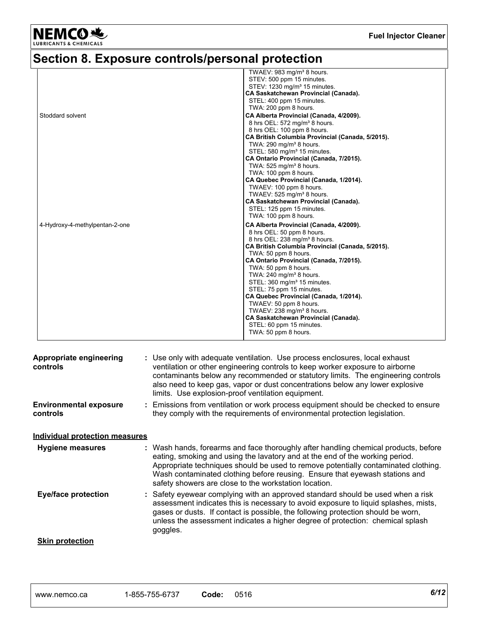

# **Section 8. Exposure controls/personal protection**

|                                | TWAEV: 983 mg/m <sup>3</sup> 8 hours.            |
|--------------------------------|--------------------------------------------------|
|                                | STEV: 500 ppm 15 minutes.                        |
|                                | STEV: 1230 mg/m <sup>3</sup> 15 minutes.         |
|                                | <b>CA Saskatchewan Provincial (Canada).</b>      |
|                                | STEL: 400 ppm 15 minutes.                        |
|                                | TWA: 200 ppm 8 hours.                            |
| Stoddard solvent               | CA Alberta Provincial (Canada, 4/2009).          |
|                                | 8 hrs OEL: 572 mg/m <sup>3</sup> 8 hours.        |
|                                | 8 hrs OEL: 100 ppm 8 hours.                      |
|                                | CA British Columbia Provincial (Canada, 5/2015). |
|                                | TWA: $290 \text{ mg/m}^3$ 8 hours.               |
|                                | STEL: 580 mg/m <sup>3</sup> 15 minutes.          |
|                                | CA Ontario Provincial (Canada, 7/2015).          |
|                                | TWA: $525 \text{ ma/m}^3$ 8 hours.               |
|                                | TWA: 100 ppm 8 hours.                            |
|                                | CA Quebec Provincial (Canada, 1/2014).           |
|                                | TWAEV: 100 ppm 8 hours.                          |
|                                | TWAEV: 525 mg/m <sup>3</sup> 8 hours.            |
|                                | <b>CA Saskatchewan Provincial (Canada).</b>      |
|                                | STEL: 125 ppm 15 minutes.                        |
|                                | TWA: 100 ppm 8 hours.                            |
| 4-Hydroxy-4-methylpentan-2-one | CA Alberta Provincial (Canada, 4/2009).          |
|                                | 8 hrs OEL: 50 ppm 8 hours.                       |
|                                | 8 hrs OEL: 238 mg/m <sup>3</sup> 8 hours.        |
|                                | CA British Columbia Provincial (Canada, 5/2015). |
|                                | TWA: 50 ppm 8 hours.                             |
|                                | CA Ontario Provincial (Canada, 7/2015).          |
|                                | TWA: 50 ppm 8 hours.                             |
|                                | TWA: $240 \text{ mg/m}^3$ 8 hours.               |
|                                | STEL: 360 mg/m <sup>3</sup> 15 minutes.          |
|                                | STEL: 75 ppm 15 minutes.                         |
|                                | CA Quebec Provincial (Canada, 1/2014).           |
|                                | TWAEV: 50 ppm 8 hours.                           |
|                                | TWAEV: 238 mg/m <sup>3</sup> 8 hours.            |
|                                |                                                  |
|                                | <b>CA Saskatchewan Provincial (Canada).</b>      |
|                                | STEL: 60 ppm 15 minutes.                         |
|                                | TWA: 50 ppm 8 hours.                             |

| Appropriate engineering<br>controls       | : Use only with adequate ventilation. Use process enclosures, local exhaust<br>ventilation or other engineering controls to keep worker exposure to airborne<br>contaminants below any recommended or statutory limits. The engineering controls<br>also need to keep gas, vapor or dust concentrations below any lower explosive<br>limits. Use explosion-proof ventilation equipment.           |
|-------------------------------------------|---------------------------------------------------------------------------------------------------------------------------------------------------------------------------------------------------------------------------------------------------------------------------------------------------------------------------------------------------------------------------------------------------|
| <b>Environmental exposure</b><br>controls | : Emissions from ventilation or work process equipment should be checked to ensure<br>they comply with the requirements of environmental protection legislation.                                                                                                                                                                                                                                  |
| <b>Individual protection measures</b>     |                                                                                                                                                                                                                                                                                                                                                                                                   |
| <b>Hygiene measures</b>                   | : Wash hands, forearms and face thoroughly after handling chemical products, before<br>eating, smoking and using the lavatory and at the end of the working period.<br>Appropriate techniques should be used to remove potentially contaminated clothing.<br>Wash contaminated clothing before reusing. Ensure that eyewash stations and<br>safety showers are close to the workstation location. |
| <b>Eye/face protection</b>                | : Safety eyewear complying with an approved standard should be used when a risk<br>assessment indicates this is necessary to avoid exposure to liquid splashes, mists,<br>gases or dusts. If contact is possible, the following protection should be worn,<br>unless the assessment indicates a higher degree of protection: chemical splash<br>goggles.                                          |
| <b>Skin protection</b>                    |                                                                                                                                                                                                                                                                                                                                                                                                   |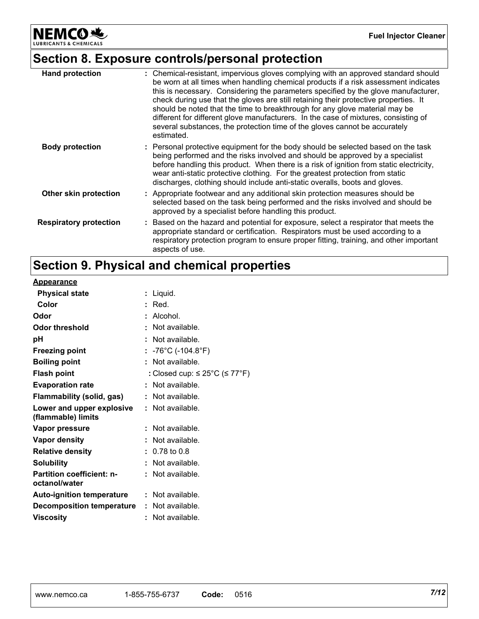NEMCO<sup>N</sup>

# **Section 8. Exposure controls/personal protection**

| <b>Hand protection</b>        | : Chemical-resistant, impervious gloves complying with an approved standard should<br>be worn at all times when handling chemical products if a risk assessment indicates<br>this is necessary. Considering the parameters specified by the glove manufacturer,<br>check during use that the gloves are still retaining their protective properties. It<br>should be noted that the time to breakthrough for any glove material may be<br>different for different glove manufacturers. In the case of mixtures, consisting of<br>several substances, the protection time of the gloves cannot be accurately<br>estimated. |
|-------------------------------|---------------------------------------------------------------------------------------------------------------------------------------------------------------------------------------------------------------------------------------------------------------------------------------------------------------------------------------------------------------------------------------------------------------------------------------------------------------------------------------------------------------------------------------------------------------------------------------------------------------------------|
| <b>Body protection</b>        | : Personal protective equipment for the body should be selected based on the task<br>being performed and the risks involved and should be approved by a specialist<br>before handling this product. When there is a risk of ignition from static electricity,<br>wear anti-static protective clothing. For the greatest protection from static<br>discharges, clothing should include anti-static overalls, boots and gloves.                                                                                                                                                                                             |
| Other skin protection         | : Appropriate footwear and any additional skin protection measures should be<br>selected based on the task being performed and the risks involved and should be<br>approved by a specialist before handling this product.                                                                                                                                                                                                                                                                                                                                                                                                 |
| <b>Respiratory protection</b> | : Based on the hazard and potential for exposure, select a respirator that meets the<br>appropriate standard or certification. Respirators must be used according to a<br>respiratory protection program to ensure proper fitting, training, and other important<br>aspects of use.                                                                                                                                                                                                                                                                                                                                       |

# **Section 9. Physical and chemical properties**

| <b>Appearance</b>                                 |                                          |
|---------------------------------------------------|------------------------------------------|
| <b>Physical state</b>                             | : Liquid.                                |
| Color                                             | : Red.                                   |
| Odor                                              | : Alcohol.                               |
| Odor threshold                                    | Not available.                           |
| рH                                                | : Not available.                         |
| <b>Freezing point</b>                             | : -76°C (-104.8°F)                       |
| <b>Boiling point</b>                              | : Not available.                         |
| <b>Flash point</b>                                | : Closed cup: $\leq$ 25°C ( $\leq$ 77°F) |
| <b>Evaporation rate</b>                           | : Not available.                         |
| Flammability (solid, gas)                         | : Not available.                         |
| Lower and upper explosive<br>(flammable) limits   | : Not available.                         |
| Vapor pressure                                    | : Not available.                         |
| <b>Vapor density</b>                              | : Not available.                         |
| <b>Relative density</b>                           | $: 0.78$ to $0.8$                        |
| <b>Solubility</b>                                 | : Not available.                         |
| <b>Partition coefficient: n-</b><br>octanol/water | : Not available.                         |
| Auto-ignition temperature                         | $:$ Not available.                       |
| <b>Decomposition temperature</b>                  | : Not available.                         |
| <b>Viscosity</b>                                  | : Not available.                         |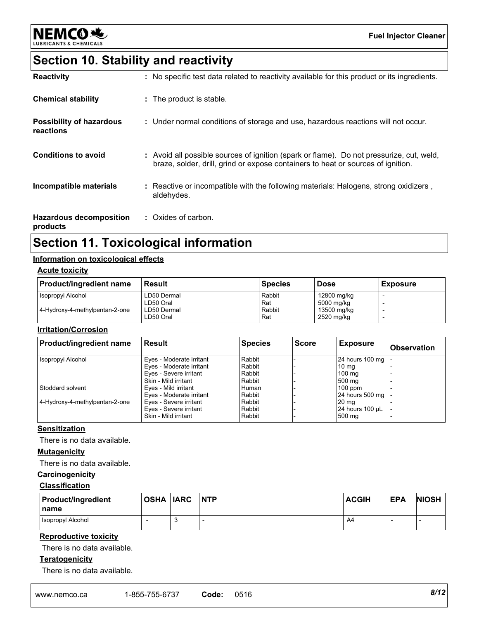

# **Section 10. Stability and reactivity**

| <b>Reactivity</b>                            | : No specific test data related to reactivity available for this product or its ingredients.                                                                                 |
|----------------------------------------------|------------------------------------------------------------------------------------------------------------------------------------------------------------------------------|
| <b>Chemical stability</b>                    | : The product is stable.                                                                                                                                                     |
| <b>Possibility of hazardous</b><br>reactions | : Under normal conditions of storage and use, hazardous reactions will not occur.                                                                                            |
| <b>Conditions to avoid</b>                   | : Avoid all possible sources of ignition (spark or flame). Do not pressurize, cut, weld,<br>braze, solder, drill, grind or expose containers to heat or sources of ignition. |
| Incompatible materials                       | : Reactive or incompatible with the following materials: Halogens, strong oxidizers,<br>aldehydes.                                                                           |
| <b>Hazardous decomposition</b><br>products   | : Oxides of carbon.                                                                                                                                                          |

# **Section 11. Toxicological information**

### **Information on toxicological effects**

#### **Acute toxicity**

| <b>Product/ingredient name</b> | Result      | <b>Species</b> | <b>Dose</b> | <b>Exposure</b> |
|--------------------------------|-------------|----------------|-------------|-----------------|
| <b>Isopropyl Alcohol</b>       | LD50 Dermal | Rabbit         | 12800 mg/kg |                 |
|                                | LD50 Oral   | Rat            | 5000 mg/kg  |                 |
| 4-Hydroxy-4-methylpentan-2-one | LD50 Dermal | Rabbit         | 13500 mg/kg |                 |
|                                | LD50 Oral   | Rat            | 2520 mg/kg  |                 |

#### **Irritation/Corrosion**

| <b>Product/ingredient name</b> | l Result                 | <b>Species</b> | <b>Score</b> | Exposure         | <b>Observation</b> |
|--------------------------------|--------------------------|----------------|--------------|------------------|--------------------|
| <b>Isopropyl Alcohol</b>       | Eyes - Moderate irritant | Rabbit         |              | 24 hours 100 mg  |                    |
|                                | Eyes - Moderate irritant | Rabbit         |              | 10 ma            |                    |
|                                | Eyes - Severe irritant   | Rabbit         |              | $100 \text{ mg}$ |                    |
|                                | Skin - Mild irritant     | Rabbit         |              | 500 mg           |                    |
| Stoddard solvent               | Eves - Mild irritant     | Human          |              | $100$ ppm        |                    |
|                                | Eves - Moderate irritant | Rabbit         |              | 24 hours 500 mg  |                    |
| 4-Hydroxy-4-methylpentan-2-one | Eyes - Severe irritant   | Rabbit         |              | 20 <sub>mg</sub> |                    |
|                                | Eyes - Severe irritant   | Rabbit         |              | 24 hours 100 µL  |                    |
|                                | Skin - Mild irritant     | Rabbit         |              | 500 mg           |                    |

#### **Sensitization**

There is no data available.

#### **Mutagenicity**

There is no data available.

## **Carcinogenicity**

### **Classification**

| <b>Product/ingredient</b><br><b>Iname</b> | OSHA IARC | <b>NTP</b> | <b>ACGIH</b> | <b>EPA</b> | <b>NIOSH</b> |
|-------------------------------------------|-----------|------------|--------------|------------|--------------|
| <b>Isopropyl Alcohol</b>                  |           |            | A4           |            |              |

#### **Reproductive toxicity**

There is no data available.

#### **Teratogenicity**

There is no data available.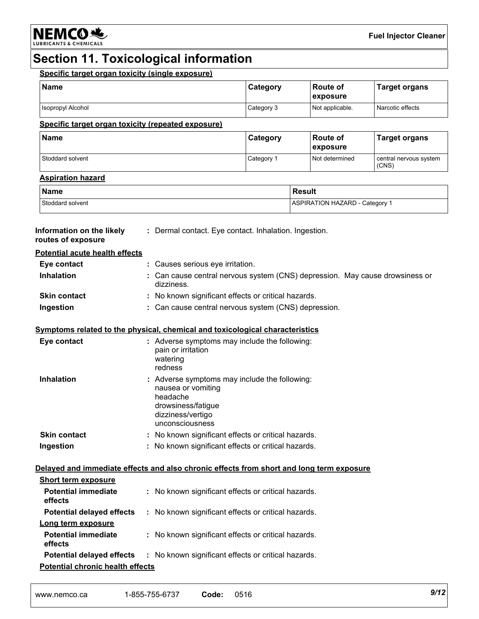

# **Section 11. Toxicological information**

| <b>Name</b>                                                                              |  |                                                                                              | Category                                              | Route of<br>exposure           | <b>Target organs</b>                                                         |
|------------------------------------------------------------------------------------------|--|----------------------------------------------------------------------------------------------|-------------------------------------------------------|--------------------------------|------------------------------------------------------------------------------|
| Isopropyl Alcohol                                                                        |  |                                                                                              | Category 3                                            | Not applicable.                | Narcotic effects                                                             |
| Specific target organ toxicity (repeated exposure)                                       |  |                                                                                              |                                                       |                                |                                                                              |
| <b>Name</b>                                                                              |  |                                                                                              | Category                                              | Route of<br>exposure           | <b>Target organs</b>                                                         |
| Stoddard solvent                                                                         |  |                                                                                              | Category 1                                            | Not determined                 | central nervous system<br>(CNS)                                              |
| <b>Aspiration hazard</b>                                                                 |  |                                                                                              |                                                       |                                |                                                                              |
| <b>Name</b>                                                                              |  |                                                                                              |                                                       | <b>Result</b>                  |                                                                              |
| Stoddard solvent                                                                         |  |                                                                                              |                                                       | ASPIRATION HAZARD - Category 1 |                                                                              |
| Information on the likely<br>routes of exposure                                          |  |                                                                                              | : Dermal contact. Eye contact. Inhalation. Ingestion. |                                |                                                                              |
| <b>Potential acute health effects</b>                                                    |  |                                                                                              |                                                       |                                |                                                                              |
| Eye contact                                                                              |  | : Causes serious eye irritation.                                                             |                                                       |                                |                                                                              |
| <b>Inhalation</b>                                                                        |  | dizziness.                                                                                   |                                                       |                                | : Can cause central nervous system (CNS) depression. May cause drowsiness or |
| <b>Skin contact</b>                                                                      |  |                                                                                              | : No known significant effects or critical hazards.   |                                |                                                                              |
| Ingestion                                                                                |  |                                                                                              | : Can cause central nervous system (CNS) depression.  |                                |                                                                              |
| Symptoms related to the physical, chemical and toxicological characteristics             |  |                                                                                              |                                                       |                                |                                                                              |
| Eye contact                                                                              |  | pain or irritation<br>watering<br>redness                                                    | : Adverse symptoms may include the following:         |                                |                                                                              |
| <b>Inhalation</b>                                                                        |  | nausea or vomiting<br>headache<br>drowsiness/fatigue<br>dizziness/vertigo<br>unconsciousness | : Adverse symptoms may include the following:         |                                |                                                                              |
| <b>Skin contact</b>                                                                      |  |                                                                                              | : No known significant effects or critical hazards.   |                                |                                                                              |
| Ingestion                                                                                |  |                                                                                              | : No known significant effects or critical hazards.   |                                |                                                                              |
| Delayed and immediate effects and also chronic effects from short and long term exposure |  |                                                                                              |                                                       |                                |                                                                              |
| <b>Short term exposure</b>                                                               |  |                                                                                              |                                                       |                                |                                                                              |
| <b>Potential immediate</b><br>effects                                                    |  |                                                                                              | : No known significant effects or critical hazards.   |                                |                                                                              |
| <b>Potential delayed effects</b>                                                         |  |                                                                                              | : No known significant effects or critical hazards.   |                                |                                                                              |
|                                                                                          |  |                                                                                              |                                                       |                                |                                                                              |
| Long term exposure                                                                       |  |                                                                                              |                                                       |                                |                                                                              |
| <b>Potential immediate</b><br>effects                                                    |  | : No known significant effects or critical hazards.                                          |                                                       |                                |                                                                              |
| <b>Potential delayed effects</b>                                                         |  |                                                                                              | : No known significant effects or critical hazards.   |                                |                                                                              |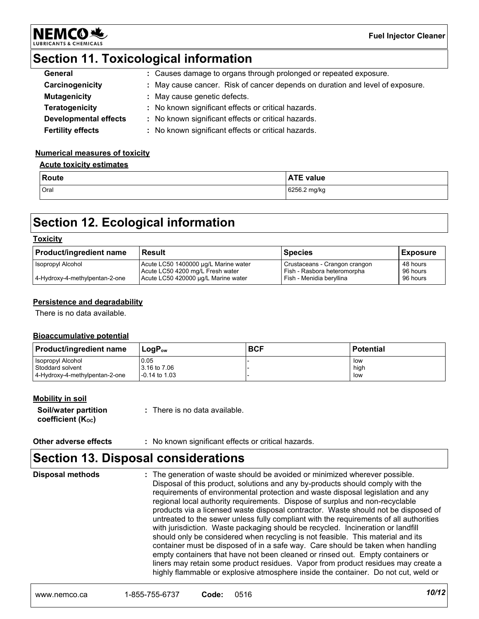

# **Section 11. Toxicological information**

| General                      | : Causes damage to organs through prolonged or repeated exposure.             |
|------------------------------|-------------------------------------------------------------------------------|
| Carcinogenicity              | : May cause cancer. Risk of cancer depends on duration and level of exposure. |
| <b>Mutagenicity</b>          | : May cause genetic defects.                                                  |
| <b>Teratogenicity</b>        | : No known significant effects or critical hazards.                           |
| <b>Developmental effects</b> | : No known significant effects or critical hazards.                           |
| <b>Fertility effects</b>     | : No known significant effects or critical hazards.                           |

#### **Numerical measures of toxicity**

### **Acute toxicity estimates**

| l Route | <b>ATE value</b> |
|---------|------------------|
| Oral    | 6256.2 mg/kg     |

# **Section 12. Ecological information**

#### **Toxicity**

| <b>Product/ingredient name</b> | l Result                                                                 | <b>Species</b>                                               | <b>Exposure</b>      |
|--------------------------------|--------------------------------------------------------------------------|--------------------------------------------------------------|----------------------|
| Isopropyl Alcohol              | Acute LC50 1400000 µg/L Marine water<br>Acute LC50 4200 mg/L Fresh water | Crustaceans - Crangon crangon<br>Fish - Rasbora heteromorpha | 48 hours<br>96 hours |
| 4-Hydroxy-4-methylpentan-2-one | Acute LC50 420000 µg/L Marine water                                      | Fish - Menidia bervilina                                     | 96 hours             |

#### **Persistence and degradability**

There is no data available.

#### **Bioaccumulative potential**

| <b>Product/ingredient name</b>               | $LogP_{ow}$          | <b>BCF</b> | <b>Potential</b> |
|----------------------------------------------|----------------------|------------|------------------|
| <b>Isopropyl Alcohol</b><br>Stoddard solvent | 0.05<br>3.16 to 7.06 |            | low<br>high      |
| 4-Hydroxy-4-methylpentan-2-one               | $-0.14$ to 1.03      |            | low              |

#### **Mobility in soil**

| Soil/water partition   | : There is no data available. |
|------------------------|-------------------------------|
| coefficient $(K_{oc})$ |                               |

| : No known significant effects or critical hazards.<br>Other adverse effects |  |
|------------------------------------------------------------------------------|--|
|------------------------------------------------------------------------------|--|

# **Section 13. Disposal considerations**

The generation of waste should be avoided or minimized wherever possible. Disposal of this product, solutions and any by-products should comply with the requirements of environmental protection and waste disposal legislation and any regional local authority requirements. Dispose of surplus and non-recyclable products via a licensed waste disposal contractor. Waste should not be disposed of untreated to the sewer unless fully compliant with the requirements of all authorities with jurisdiction. Waste packaging should be recycled. Incineration or landfill should only be considered when recycling is not feasible. This material and its container must be disposed of in a safe way. Care should be taken when handling empty containers that have not been cleaned or rinsed out. Empty containers or liners may retain some product residues. Vapor from product residues may create a highly flammable or explosive atmosphere inside the container. Do not cut, weld or **Disposal methods :**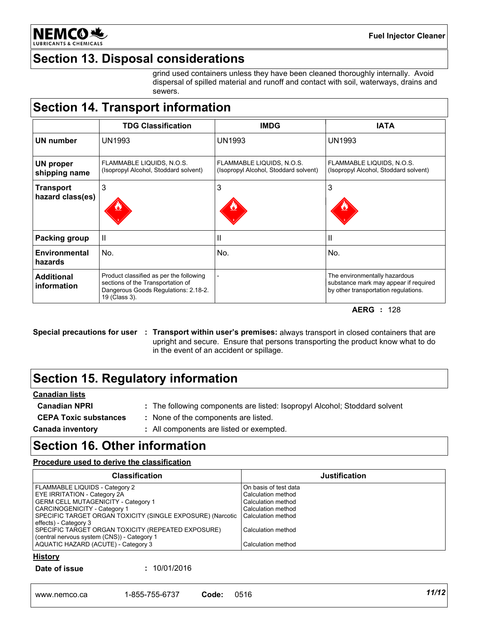

# **Section 13. Disposal considerations**

grind used containers unless they have been cleaned thoroughly internally. Avoid dispersal of spilled material and runoff and contact with soil, waterways, drains and sewers.

# **Section 14. Transport information**

|                                      | <b>TDG Classification</b>                                                                                                             | <b>IMDG</b>                                                        | <b>IATA</b>                                                                                                    |
|--------------------------------------|---------------------------------------------------------------------------------------------------------------------------------------|--------------------------------------------------------------------|----------------------------------------------------------------------------------------------------------------|
| UN number                            | UN1993                                                                                                                                | <b>UN1993</b>                                                      | <b>UN1993</b>                                                                                                  |
| <b>UN proper</b><br>shipping name    | FLAMMABLE LIQUIDS, N.O.S.<br>(Isopropyl Alcohol, Stoddard solvent)                                                                    | FLAMMABLE LIQUIDS, N.O.S.<br>(Isopropyl Alcohol, Stoddard solvent) | FLAMMABLE LIQUIDS, N.O.S.<br>(Isopropyl Alcohol, Stoddard solvent)                                             |
| <b>Transport</b><br>hazard class(es) | 3                                                                                                                                     | 3                                                                  | 3                                                                                                              |
| Packing group                        | $\mathbf{I}$                                                                                                                          | Ш                                                                  | Ш                                                                                                              |
| Environmental<br>hazards             | No.                                                                                                                                   | No.                                                                | No.                                                                                                            |
| <b>Additional</b><br>information     | Product classified as per the following<br>sections of the Transportation of<br>Dangerous Goods Regulations: 2.18-2.<br>19 (Class 3). |                                                                    | The environmentally hazardous<br>substance mark may appear if required<br>by other transportation regulations. |

**AERG :** 128

**Special precautions for user Transport within user's premises:** always transport in closed containers that are **:** upright and secure. Ensure that persons transporting the product know what to do in the event of an accident or spillage.

# **Section 15. Regulatory information**

#### **Canadian lists**

- 
- **Canadian NPRI :** The following components are listed: Isopropyl Alcohol; Stoddard solvent
- 
- **CEPA Toxic substances :** None of the components are listed.

**Canada inventory :** All components are listed or exempted.

# **Section 16. Other information**

#### **Procedure used to derive the classification**

| <b>Classification</b>                                      | <b>Justification</b>  |
|------------------------------------------------------------|-----------------------|
| <b>FLAMMABLE LIQUIDS - Category 2</b>                      | On basis of test data |
| <b>EYE IRRITATION - Category 2A</b>                        | Calculation method    |
| <b>GERM CELL MUTAGENICITY - Category 1</b>                 | Calculation method    |
| CARCINOGENICITY - Category 1                               | Calculation method    |
| SPECIFIC TARGET ORGAN TOXICITY (SINGLE EXPOSURE) (Narcotic | l Calculation method  |
| effects) - Category 3                                      |                       |
| SPECIFIC TARGET ORGAN TOXICITY (REPEATED EXPOSURE)         | Calculation method    |
| (central nervous system (CNS)) - Category 1                |                       |
| AQUATIC HAZARD (ACUTE) - Category 3                        | Calculation method    |

#### **History**

#### **Date of issue :** 10/01/2016

| 11/12<br>6737-د<br>$-855 - 755$<br>0516<br>Code<br>www.nemco.ca |  |  |  |  |
|-----------------------------------------------------------------|--|--|--|--|
|-----------------------------------------------------------------|--|--|--|--|